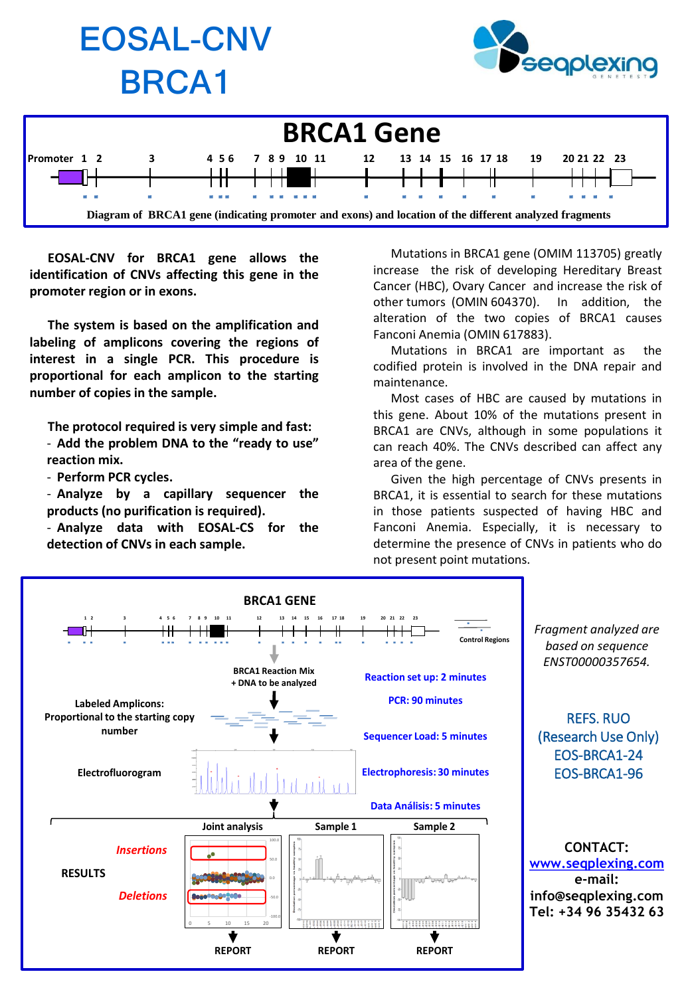





**EOSAL-CNV for BRCA1 gene allows the identification of CNVs affecting this gene in the promoter region or in exons.**

**The system is based on the amplification and labeling of amplicons covering the regions of interest in a single PCR. This procedure is proportional for each amplicon to the starting number of copies in the sample.**

**The protocol required is very simple and fast:**

- **Add the problem DNA to the "ready to use" reaction mix.**

- **Perform PCR cycles.**

- **Analyze by a capillary sequencer the products (no purification is required).**

- **Analyze data with EOSAL-CS for the detection of CNVs in each sample.**

Mutations in BRCA1 gene (OMIM 113705) greatly increase the risk of developing Hereditary Breast Cancer (HBC), Ovary Cancer and increase the risk of other tumors (OMIN 604370). In addition, the alteration of the two copies of BRCA1 causes Fanconi Anemia (OMIN 617883).

Mutations in BRCA1 are important as the codified protein is involved in the DNA repair and maintenance.

Most cases of HBC are caused by mutations in this gene. About 10% of the mutations present in BRCA1 are CNVs, although in some populations it can reach 40%. The CNVs described can affect any area of the gene.

Given the high percentage of CNVs presents in BRCA1, it is essential to search for these mutations in those patients suspected of having HBC and Fanconi Anemia. Especially, it is necessary to determine the presence of CNVs in patients who do not present point mutations.